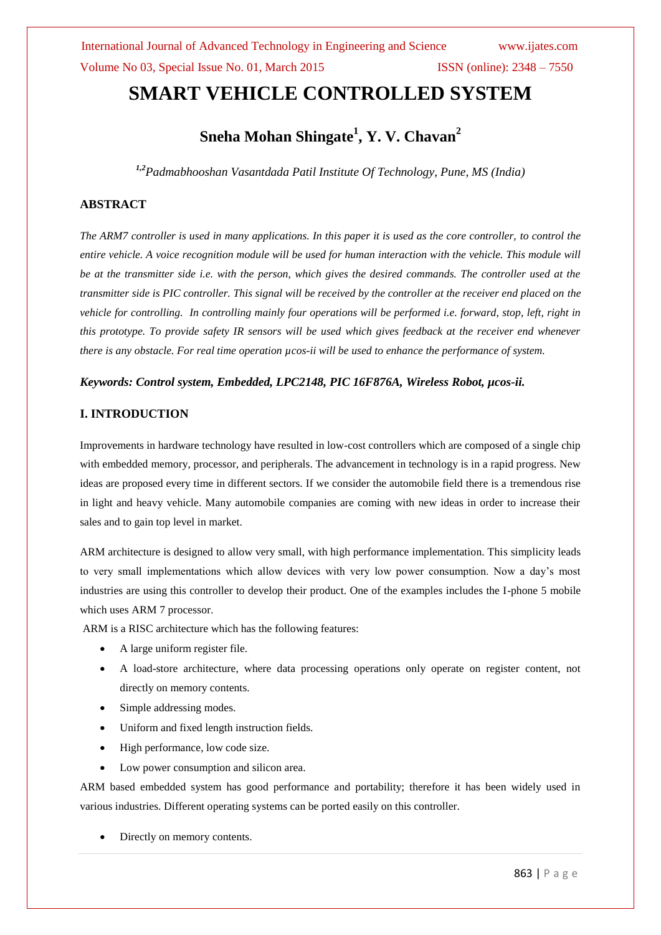# **SMART VEHICLE CONTROLLED SYSTEM**

# **Sneha Mohan Shingate<sup>1</sup> , Y. V. Chavan<sup>2</sup>**

*1,2Padmabhooshan Vasantdada Patil Institute Of Technology, Pune, MS (India)*

### **ABSTRACT**

*The ARM7 controller is used in many applications. In this paper it is used as the core controller, to control the entire vehicle. A voice recognition module will be used for human interaction with the vehicle. This module will be at the transmitter side i.e. with the person, which gives the desired commands. The controller used at the transmitter side is PIC controller. This signal will be received by the controller at the receiver end placed on the vehicle for controlling. In controlling mainly four operations will be performed i.e. forward, stop, left, right in this prototype. To provide safety IR sensors will be used which gives feedback at the receiver end whenever there is any obstacle. For real time operation µcos-ii will be used to enhance the performance of system.*

#### *Keywords: Control system, Embedded, LPC2148, PIC 16F876A, Wireless Robot, µcos-ii.*

#### **I. INTRODUCTION**

Improvements in hardware technology have resulted in low-cost controllers which are composed of a single chip with embedded memory, processor, and peripherals. The advancement in technology is in a rapid progress. New ideas are proposed every time in different sectors. If we consider the automobile field there is a tremendous rise in light and heavy vehicle. Many automobile companies are coming with new ideas in order to increase their sales and to gain top level in market.

ARM architecture is designed to allow very small, with high performance implementation. This simplicity leads to very small implementations which allow devices with very low power consumption. Now a day's most industries are using this controller to develop their product. One of the examples includes the I-phone 5 mobile which uses ARM 7 processor.

ARM is a RISC architecture which has the following features:

- A large uniform register file.
- A load-store architecture, where data processing operations only operate on register content, not directly on memory contents.
- Simple addressing modes.
- Uniform and fixed length instruction fields.
- High performance, low code size.
- Low power consumption and silicon area.

ARM based embedded system has good performance and portability; therefore it has been widely used in various industries. Different operating systems can be ported easily on this controller.

Directly on memory contents.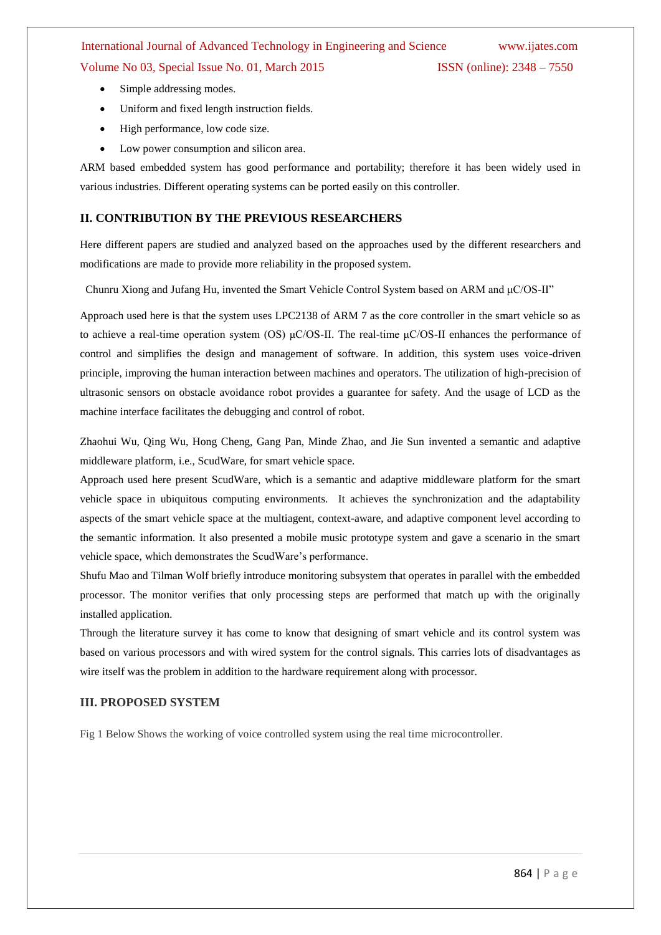# International Journal of Advanced Technology in Engineering and Science www.ijates.com Volume No 03, Special Issue No. 01, March 2015 ISSN (online): 2348 – 7550

- Simple addressing modes.
- Uniform and fixed length instruction fields.
- High performance, low code size.
- Low power consumption and silicon area.

ARM based embedded system has good performance and portability; therefore it has been widely used in various industries. Different operating systems can be ported easily on this controller.

#### **II. CONTRIBUTION BY THE PREVIOUS RESEARCHERS**

Here different papers are studied and analyzed based on the approaches used by the different researchers and modifications are made to provide more reliability in the proposed system.

Chunru Xiong and Jufang Hu, invented the Smart Vehicle Control System based on ARM and μC/OS-II"

Approach used here is that the system uses LPC2138 of ARM 7 as the core controller in the smart vehicle so as to achieve a real-time operation system (OS) μC/OS-II. The real-time μC/OS-II enhances the performance of control and simplifies the design and management of software. In addition, this system uses voice-driven principle, improving the human interaction between machines and operators. The utilization of high-precision of ultrasonic sensors on obstacle avoidance robot provides a guarantee for safety. And the usage of LCD as the machine interface facilitates the debugging and control of robot.

Zhaohui Wu, Qing Wu, Hong Cheng, Gang Pan, Minde Zhao, and Jie Sun invented a semantic and adaptive middleware platform, i.e., ScudWare, for smart vehicle space.

Approach used here present ScudWare, which is a semantic and adaptive middleware platform for the smart vehicle space in ubiquitous computing environments. It achieves the synchronization and the adaptability aspects of the smart vehicle space at the multiagent, context-aware, and adaptive component level according to the semantic information. It also presented a mobile music prototype system and gave a scenario in the smart vehicle space, which demonstrates the ScudWare's performance.

Shufu Mao and Tilman Wolf briefly introduce monitoring subsystem that operates in parallel with the embedded processor. The monitor verifies that only processing steps are performed that match up with the originally installed application.

Through the literature survey it has come to know that designing of smart vehicle and its control system was based on various processors and with wired system for the control signals. This carries lots of disadvantages as wire itself was the problem in addition to the hardware requirement along with processor.

#### **III. PROPOSED SYSTEM**

Fig 1 Below Shows the working of voice controlled system using the real time microcontroller.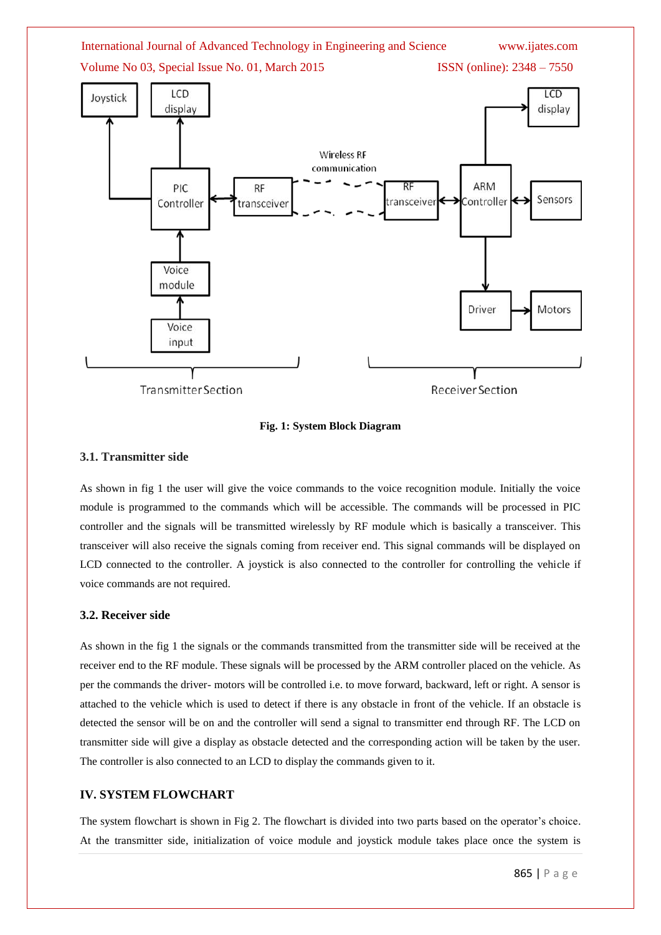

#### **Fig. 1: System Block Diagram**

#### **3.1. Transmitter side**

As shown in fig 1 the user will give the voice commands to the voice recognition module. Initially the voice module is programmed to the commands which will be accessible. The commands will be processed in PIC controller and the signals will be transmitted wirelessly by RF module which is basically a transceiver. This transceiver will also receive the signals coming from receiver end. This signal commands will be displayed on LCD connected to the controller. A joystick is also connected to the controller for controlling the vehicle if voice commands are not required.

#### **3.2. Receiver side**

As shown in the fig 1 the signals or the commands transmitted from the transmitter side will be received at the receiver end to the RF module. These signals will be processed by the ARM controller placed on the vehicle. As per the commands the driver- motors will be controlled i.e. to move forward, backward, left or right. A sensor is attached to the vehicle which is used to detect if there is any obstacle in front of the vehicle. If an obstacle is detected the sensor will be on and the controller will send a signal to transmitter end through RF. The LCD on transmitter side will give a display as obstacle detected and the corresponding action will be taken by the user. The controller is also connected to an LCD to display the commands given to it.

#### **IV. SYSTEM FLOWCHART**

The system flowchart is shown in Fig 2. The flowchart is divided into two parts based on the operator's choice. At the transmitter side, initialization of voice module and joystick module takes place once the system is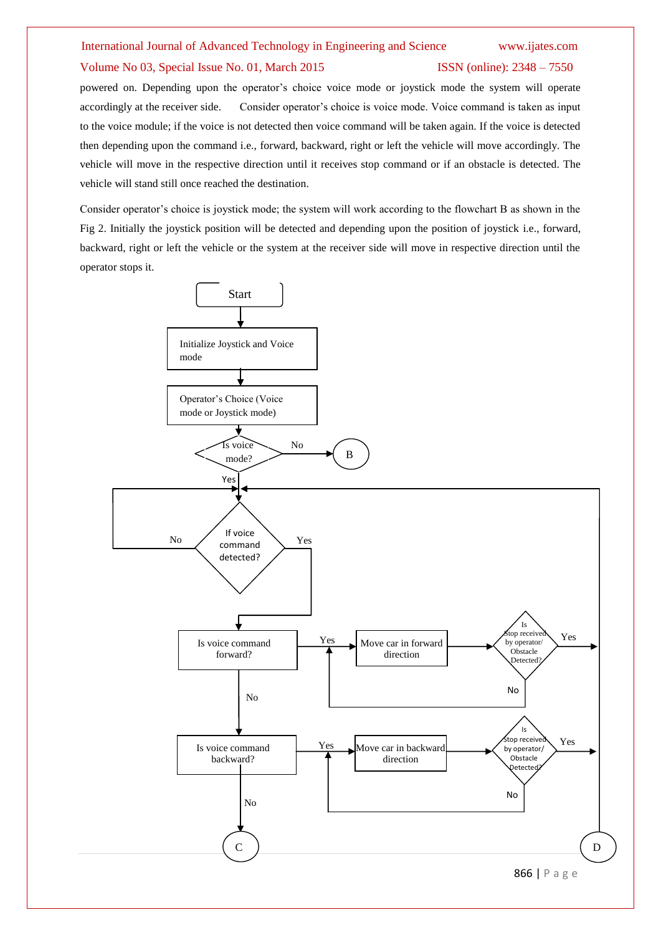## International Journal of Advanced Technology in Engineering and Science www.ijates.com Volume No 03, Special Issue No. 01, March 2015 ISSN (online): 2348 – 7550

powered on. Depending upon the operator's choice voice mode or joystick mode the system will operate accordingly at the receiver side. Consider operator's choice is voice mode. Voice command is taken as input to the voice module; if the voice is not detected then voice command will be taken again. If the voice is detected then depending upon the command i.e., forward, backward, right or left the vehicle will move accordingly. The vehicle will move in the respective direction until it receives stop command or if an obstacle is detected. The vehicle will stand still once reached the destination.

Consider operator's choice is joystick mode; the system will work according to the flowchart B as shown in the Fig 2. Initially the joystick position will be detected and depending upon the position of joystick i.e., forward, backward, right or left the vehicle or the system at the receiver side will move in respective direction until the operator stops it.

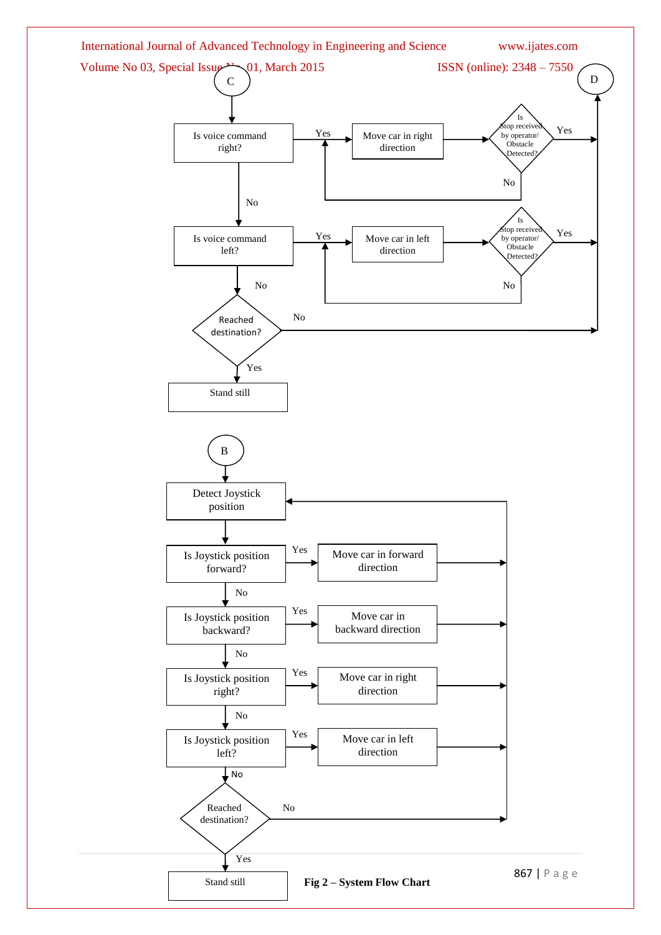